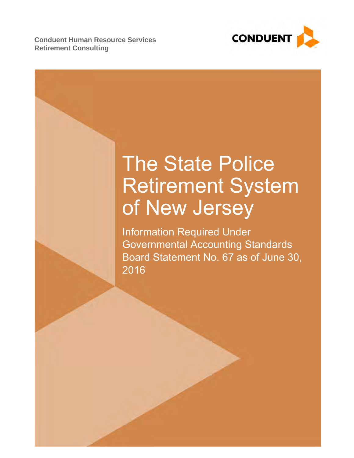**Retirement Consulting Conduent Human Resource Services** 



# The State Police Retirement System of New Jersey

Information Required Under Governmental Accounting Standards Board Statement No. 67 as of June 30, 2016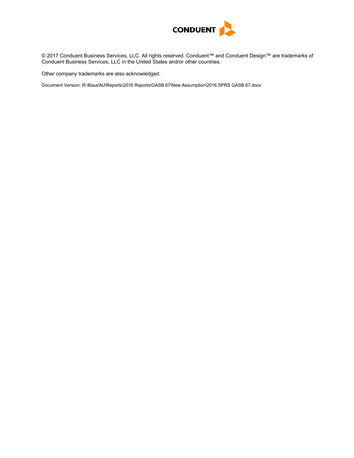

© 2017 Conduent Business Services, LLC. All rights reserved. Conduent™ and Conduent Design™ are trademarks of Conduent Business Services, LLC in the United States and/or other countries.

Other company trademarks are also acknowledged.

Document Version: R:\Baus\NJ\Reports\2016 Reports\GASB 67\New Assumption\2016 SPRS GASB 67.docx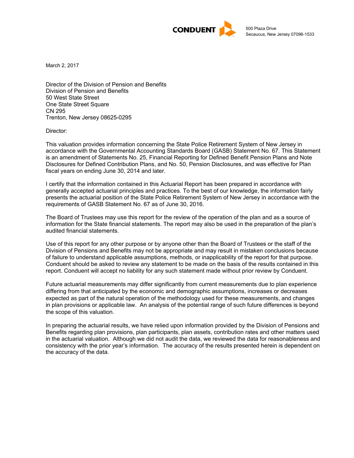

March 2, 2017

Director of the Division of Pension and Benefits Division of Pension and Benefits 50 West State Street One State Street Square CN 295 Trenton, New Jersey 08625-0295

Director:

This valuation provides information concerning the State Police Retirement System of New Jersey in accordance with the Governmental Accounting Standards Board (GASB) Statement No. 67. This Statement is an amendment of Statements No. 25, Financial Reporting for Defined Benefit Pension Plans and Note Disclosures for Defined Contribution Plans, and No. 50, Pension Disclosures, and was effective for Plan fiscal years on ending June 30, 2014 and later.

I certify that the information contained in this Actuarial Report has been prepared in accordance with generally accepted actuarial principles and practices. To the best of our knowledge, the information fairly presents the actuarial position of the State Police Retirement System of New Jersey in accordance with the requirements of GASB Statement No. 67 as of June 30, 2016.

The Board of Trustees may use this report for the review of the operation of the plan and as a source of information for the State financial statements. The report may also be used in the preparation of the plan's audited financial statements.

Use of this report for any other purpose or by anyone other than the Board of Trustees or the staff of the Division of Pensions and Benefits may not be appropriate and may result in mistaken conclusions because of failure to understand applicable assumptions, methods, or inapplicability of the report for that purpose. Conduent should be asked to review any statement to be made on the basis of the results contained in this report. Conduent will accept no liability for any such statement made without prior review by Conduent.

Future actuarial measurements may differ significantly from current measurements due to plan experience differing from that anticipated by the economic and demographic assumptions, increases or decreases expected as part of the natural operation of the methodology used for these measurements, and changes in plan provisions or applicable law. An analysis of the potential range of such future differences is beyond the scope of this valuation.

In preparing the actuarial results, we have relied upon information provided by the Division of Pensions and Benefits regarding plan provisions, plan participants, plan assets, contribution rates and other matters used in the actuarial valuation. Although we did not audit the data, we reviewed the data for reasonableness and consistency with the prior year's information. The accuracy of the results presented herein is dependent on the accuracy of the data.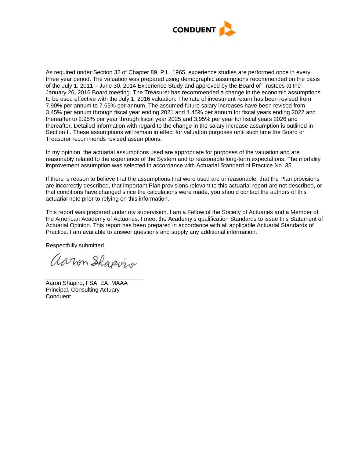

As required under Section 32 of Chapter 89, P.L. 1965, experience studies are performed once in every three year period. The valuation was prepared using demographic assumptions recommended on the basis of the July 1, 2011 – June 30, 2014 Experience Study and approved by the Board of Trustees at the January 26, 2016 Board meeting. The Treasurer has recommended a change in the economic assumptions to be used effective with the July 1, 2016 valuation. The rate of investment return has been revised from 7.90% per annum to 7.65% per annum. The assumed future salary increases have been revised from 3.45% per annum through fiscal year ending 2021 and 4.45% per annum for fiscal years ending 2022 and thereafter to 2.95% per year through fiscal year 2025 and 3.95% per year for fiscal years 2026 and thereafter. Detailed information with regard to the change in the salary increase assumption is outlined in Section II. These assumptions will remain in effect for valuation purposes until such time the Board or Treasurer recommends revised assumptions.

In my opinion, the actuarial assumptions used are appropriate for purposes of the valuation and are reasonably related to the experience of the System and to reasonable long-term expectations. The mortality improvement assumption was selected in accordance with Actuarial Standard of Practice No. 35.

If there is reason to believe that the assumptions that were used are unreasonable, that the Plan provisions are incorrectly described, that important Plan provisions relevant to this actuarial report are not described, or that conditions have changed since the calculations were made, you should contact the authors of this actuarial note prior to relying on this information.

This report was prepared under my supervision. I am a Fellow of the Society of Actuaries and a Member of the American Academy of Actuaries. I meet the Academy's qualification Standards to issue this Statement of Actuarial Opinion. This report has been prepared in accordance with all applicable Actuarial Standards of Practice. I am available to answer questions and supply any additional information.

Respectfully submitted,

aaron Shapvio

 Aaron Shapiro, FSA, EA, MAAA Principal, Consulting Actuary **Conduent**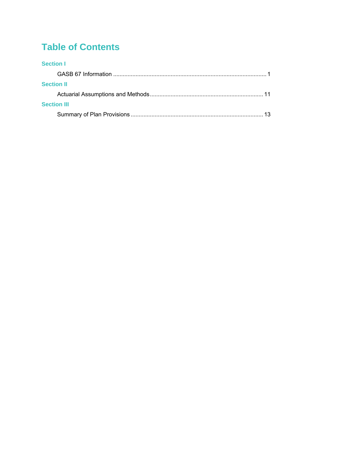# **Table of Contents**

## **Section I**

| <b>Section II</b>  |  |
|--------------------|--|
|                    |  |
| <b>Section III</b> |  |
|                    |  |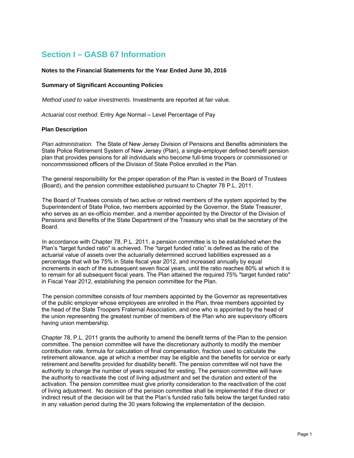# **Section I – GASB 67 Information**

#### **Notes to the Financial Statements for the Year Ended June 30, 2016**

#### **Summary of Significant Accounting Policies**

*Method used to value investments.* Investments are reported at fair value.

*Actuarial cost method*. Entry Age Normal – Level Percentage of Pay

#### **Plan Description**

*Plan administration.* The State of New Jersey Division of Pensions and Benefits administers the State Police Retirement System of New Jersey (Plan), a single-employer defined benefit pension plan that provides pensions for all individuals who become full-time troopers or commissioned or noncommissioned officers of the Division of State Police enrolled in the Plan.

The general responsibility for the proper operation of the Plan is vested in the Board of Trustees (Board), and the pension committee established pursuant to Chapter 78 P.L. 2011.

The Board of Trustees consists of two active or retired members of the system appointed by the Superintendent of State Police, two members appointed by the Governor, the State Treasurer, who serves as an ex-officio member, and a member appointed by the Director of the Division of Pensions and Benefits of the State Department of the Treasury who shall be the secretary of the Board.

In accordance with Chapter 78, P.L. 2011, a pension committee is to be established when the Plan's "target funded ratio" is achieved. The "target funded ratio" is defined as the ratio of the actuarial value of assets over the actuarially determined accrued liabilities expressed as a percentage that will be 75% in State fiscal year 2012, and increased annually by equal increments in each of the subsequent seven fiscal years, until the ratio reaches 80% at which it is to remain for all subsequent fiscal years. The Plan attained the required 75% "target funded ratio" in Fiscal Year 2012, establishing the pension committee for the Plan.

The pension committee consists of four members appointed by the Governor as representatives of the public employer whose employees are enrolled in the Plan, three members appointed by the head of the State Troopers Fraternal Association, and one who is appointed by the head of the union representing the greatest number of members of the Plan who are supervisory officers having union membership.

Chapter 78, P.L. 2011 grants the authority to amend the benefit terms of the Plan to the pension committee. The pension committee will have the discretionary authority to modify the member contribution rate, formula for calculation of final compensation, fraction used to calculate the retirement allowance, age at which a member may be eligible and the benefits for service or early retirement and benefits provided for disability benefit. The pension committee will not have the authority to change the number of years required for vesting. The pension committee will have the authority to reactivate the cost of living adjustment and set the duration and extent of the activation. The pension committee must give priority consideration to the reactivation of the cost of living adjustment. No decision of the pension committee shall be implemented if the direct or indirect result of the decision will be that the Plan's funded ratio falls below the target funded ratio in any valuation period during the 30 years following the implementation of the decision.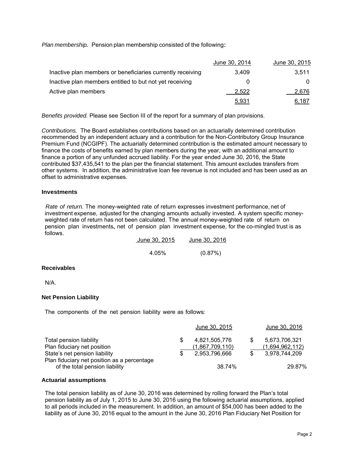*Plan membership.* Pension plan membership consisted of the following:

|                                                            | June 30, 2014 | June 30, 2015 |
|------------------------------------------------------------|---------------|---------------|
| Inactive plan members or beneficiaries currently receiving | 3.409         | 3.511         |
| Inactive plan members entitled to but not yet receiving    |               |               |
| Active plan members                                        | 2.522         | 2,676         |
|                                                            | <u>5,931</u>  | 6,187         |

*Benefits provided.* Please see Section III of the report for a summary of plan provisions.

*Contributions.* The Board establishes contributions based on an actuarially determined contribution recommended by an independent actuary and a contribution for the Non-Contributory Group Insurance Premium Fund (NCGIPF). The actuarially determined contribution is the estimated amount necessary to finance the costs of benefits earned by plan members during the year, with an additional amount to finance a portion of any unfunded accrued liability. For the year ended June 30, 2016, the State contributed \$37,435,541 to the plan per the financial statement. This amount excludes transfers from other systems. In addition, the administrative loan fee revenue is not included and has been used as an offset to administrative expenses.

#### **Investments**

*Rate of return.* The money-weighted rate of return expresses investment performance, net of investment expense, adjusted for the changing amounts actually invested. A system specific moneyweighted rate of return has not been calculated. The annual money-weighted rate of return on pension plan investments, net of pension plan investment expense, for the co-mingled trust is as follows.

| June 30, 2015 | June 30, 2016 |
|---------------|---------------|
|               |               |
| 4.05%         | (0.87%)       |

#### **Receivables**

N/A.

#### **Net Pension Liability**

The components of the net pension liability were as follows:

|                                                                                                                                        |   | June 30, 2015                                            | June 30, 2016                                     |
|----------------------------------------------------------------------------------------------------------------------------------------|---|----------------------------------------------------------|---------------------------------------------------|
| Total pension liability<br>Plan fiduciary net position<br>State's net pension liability<br>Plan fiduciary net position as a percentage | S | 4,821,505,776<br><u>(1,867,709,110)</u><br>2.953.796.666 | 5,673,706,321<br>(1,694,962,112)<br>3,978,744,209 |
| of the total pension liability                                                                                                         |   | 38.74%                                                   | 29.87%                                            |

#### **Actuarial assumptions**

The total pension liability as of June 30, 2016 was determined by rolling forward the Plan's total pension liability as of July 1, 2015 to June 30, 2016 using the following actuarial assumptions, applied to all periods included in the measurement. In addition, an amount of \$54,000 has been added to the liability as of June 30, 2016 equal to the amount in the June 30, 2016 Plan Fiduciary Net Position for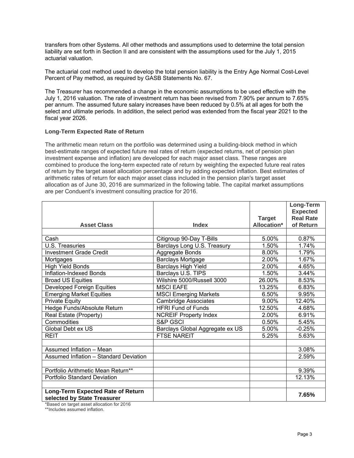transfers from other Systems. All other methods and assumptions used to determine the total pension liability are set forth in Section II and are consistent with the assumptions used for the July 1, 2015 actuarial valuation.

The actuarial cost method used to develop the total pension liability is the Entry Age Normal Cost-Level Percent of Pay method, as required by GASB Statements No. 67.

The Treasurer has recommended a change in the economic assumptions to be used effective with the July 1, 2016 valuation. The rate of investment return has been revised from 7.90% per annum to 7.65% per annum. The assumed future salary increases have been reduced by 0.5% at all ages for both the select and ultimate periods. In addition, the select period was extended from the fiscal year 2021 to the fiscal year 2026.

#### **Long-Term Expected Rate of Return**

The arithmetic mean return on the portfolio was determined using a building-block method in which best-estimate ranges of expected future real rates of return (expected returns, net of pension plan investment expense and inflation) are developed for each major asset class. These ranges are combined to produce the long-term expected rate of return by weighting the expected future real rates of return by the target asset allocation percentage and by adding expected inflation. Best estimates of arithmetic rates of return for each major asset class included in the pension plan's target asset allocation as of June 30, 2016 are summarized in the following table. The capital market assumptions are per Conduent's investment consulting practice for 2016.

|                                                      |                                                          |               | Long-Term        |
|------------------------------------------------------|----------------------------------------------------------|---------------|------------------|
|                                                      |                                                          |               | <b>Expected</b>  |
|                                                      |                                                          | <b>Target</b> | <b>Real Rate</b> |
| <b>Asset Class</b>                                   | <b>Index</b>                                             | Allocation*   | of Return        |
| Cash                                                 | Citigroup 90-Day T-Bills                                 | 5.00%         | 0.87%            |
| U.S. Treasuries                                      | Barclays Long U.S. Treasury                              | 1.50%         | 1.74%            |
| <b>Investment Grade Credit</b>                       | Aggregate Bonds                                          | 8.00%         | 1.79%            |
|                                                      | <b>Barclays Mortgage</b>                                 | 2.00%         | 1.67%            |
| Mortgages<br><b>High Yield Bonds</b>                 |                                                          | 2.00%         | 4.65%            |
| Inflation-Indexed Bonds                              | Barclays High Yield                                      | 1.50%         | 3.44%            |
|                                                      | Barclays U.S. TIPS<br>Wilshire 5000/Russell 3000         | 26.00%        | 8.53%            |
| <b>Broad US Equities</b>                             | <b>MSCI EAFE</b>                                         | 13.25%        | 6.83%            |
| <b>Developed Foreign Equities</b>                    |                                                          | 6.50%         | 9.95%            |
| <b>Emerging Market Equities</b>                      | <b>MSCI Emerging Markets</b>                             | 9.00%         | 12.40%           |
| <b>Private Equity</b><br>Hedge Funds/Absolute Return | <b>Cambridge Associates</b><br><b>HFRI Fund of Funds</b> | 12.50%        |                  |
|                                                      |                                                          |               | 4.68%            |
| Real Estate (Property)                               | <b>NCREIF Property Index</b>                             | 2.00%         | 6.91%            |
| Commodities                                          | S&P GSCI                                                 | 0.50%         | 5.45%            |
| Global Debt ex US                                    | Barclays Global Aggregate ex US                          | 5.00%         | $-0.25%$         |
| <b>REIT</b>                                          | <b>FTSE NAREIT</b>                                       | 5.25%         | 5.63%            |
|                                                      |                                                          |               |                  |
| Assumed Inflation - Mean                             |                                                          |               | 3.08%            |
| Assumed Inflation - Standard Deviation               |                                                          |               | 2.59%            |
|                                                      |                                                          |               |                  |
| Portfolio Arithmetic Mean Return**                   |                                                          |               | 9.39%            |
| Portfolio Standard Deviation                         |                                                          |               | 12.13%           |
|                                                      |                                                          |               |                  |
| Long-Term Expected Rate of Return                    |                                                          |               | 7.65%            |
| selected by State Treasurer                          |                                                          |               |                  |

\*Based on target asset allocation for 2016

\*\*Includes assumed inflation.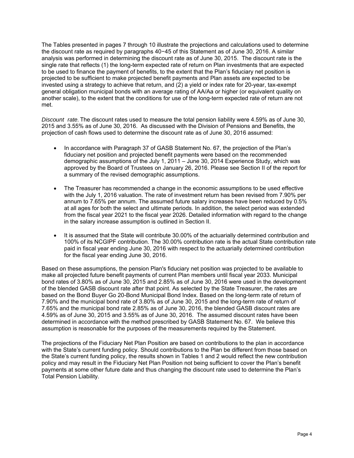The Tables presented in pages 7 through 10 illustrate the projections and calculations used to determine the discount rate as required by paragraphs 40−45 of this Statement as of June 30, 2016. A similar analysis was performed in determining the discount rate as of June 30, 2015. The discount rate is the single rate that reflects (1) the long-term expected rate of return on Plan investments that are expected to be used to finance the payment of benefits, to the extent that the Plan's fiduciary net position is projected to be sufficient to make projected benefit payments and Plan assets are expected to be invested using a strategy to achieve that return, and (2) a yield or index rate for 20-year, tax-exempt general obligation municipal bonds with an average rating of AA/Aa or higher (or equivalent quality on another scale), to the extent that the conditions for use of the long-term expected rate of return are not met.

*Discount rate.* The discount rates used to measure the total pension liability were 4.59% as of June 30, 2015 and 3.55% as of June 30, 2016. As discussed with the Division of Pensions and Benefits, the projection of cash flows used to determine the discount rate as of June 30, 2016 assumed:

- In accordance with Paragraph 37 of GASB Statement No. 67, the projection of the Plan's fiduciary net position and projected benefit payments were based on the recommended demographic assumptions of the July 1, 2011 – June 30, 2014 Experience Study, which was approved by the Board of Trustees on January 26, 2016. Please see Section II of the report for a summary of the revised demographic assumptions.
- The Treasurer has recommended a change in the economic assumptions to be used effective with the July 1, 2016 valuation. The rate of investment return has been revised from 7.90% per annum to 7.65% per annum. The assumed future salary increases have been reduced by 0.5% at all ages for both the select and ultimate periods. In addition, the select period was extended from the fiscal year 2021 to the fiscal year 2026. Detailed information with regard to the change in the salary increase assumption is outlined in Section II.
- It is assumed that the State will contribute 30,00% of the actuarially determined contribution and 100% of its NCGIPF contribution. The 30.00% contribution rate is the actual State contribution rate paid in fiscal year ending June 30, 2016 with respect to the actuarially determined contribution for the fiscal year ending June 30, 2016.

Based on these assumptions, the pension Plan's fiduciary net position was projected to be available to make all projected future benefit payments of current Plan members until fiscal year 2033. Municipal bond rates of 3.80% as of June 30, 2015 and 2.85% as of June 30, 2016 were used in the development of the blended GASB discount rate after that point. As selected by the State Treasurer, the rates are based on the Bond Buyer Go 20-Bond Municipal Bond Index. Based on the long-term rate of return of 7.90% and the municipal bond rate of 3.80% as of June 30, 2015 and the long-term rate of return of 7.65% and the municipal bond rate 2.85% as of June 30, 2016, the blended GASB discount rates are 4.59% as of June 30, 2015 and 3.55% as of June 30, 2016. The assumed discount rates have been determined in accordance with the method prescribed by GASB Statement No. 67. We believe this assumption is reasonable for the purposes of the measurements required by the Statement.

The projections of the Fiduciary Net Plan Position are based on contributions to the plan in accordance with the State's current funding policy. Should contributions to the Plan be different from those based on the State's current funding policy, the results shown in Tables 1 and 2 would reflect the new contribution policy and may result in the Fiduciary Net Plan Position not being sufficient to cover the Plan's benefit payments at some other future date and thus changing the discount rate used to determine the Plan's Total Pension Liability.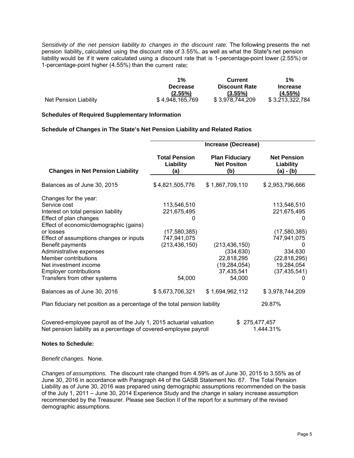Sensitivity of the net pension liability to changes in the discount rate. The following presents the net pension liability, calculated using the discount rate of 3.55%, as well as what the State's net pension liability would be if it were calculated using a discount rate that is 1-percentage-point lower (2.55%) or 1-percentage-point higher (4.55%) than the current rate:

|                       | $1\%$           | Current              | $1\%$           |
|-----------------------|-----------------|----------------------|-----------------|
|                       | <b>Decrease</b> | <b>Discount Rate</b> | <b>Increase</b> |
|                       | $(2.55\%)$      | $(3.55\%)$           | $(4.55\%)$      |
| Net Pension Liability | \$4,948,165,769 | \$3,978,744,209      | \$3,213,322,784 |

#### **Schedules of Required Supplementary Information**

#### **Schedule of Changes in The State's Net Pension Liability and Related Ratios**

|                                                                                                                                                                                                          | Increase (Decrease)                                       |                                                                                       |                                                                |  |  |  |  |  |  |
|----------------------------------------------------------------------------------------------------------------------------------------------------------------------------------------------------------|-----------------------------------------------------------|---------------------------------------------------------------------------------------|----------------------------------------------------------------|--|--|--|--|--|--|
|                                                                                                                                                                                                          |                                                           |                                                                                       |                                                                |  |  |  |  |  |  |
| <b>Changes in Net Pension Liability</b>                                                                                                                                                                  | <b>Total Pension</b><br>Liability<br>(a)                  | <b>Plan Fiduciary</b><br><b>Net Positon</b><br>(b)                                    | <b>Net Pension</b><br>Liability<br>(a) - (b)                   |  |  |  |  |  |  |
| Balances as of June 30, 2015                                                                                                                                                                             | \$4,821,505,776                                           | \$1,867,709,110                                                                       | \$2,953,796,666                                                |  |  |  |  |  |  |
| Changes for the year:<br>Service cost<br>Interest on total pension liability<br>Effect of plan changes<br>Effect of economic/demographic (gains)<br>or losses<br>Effect of assumptions changes or inputs | 113,546,510<br>221,675,495<br>(17,580,385)<br>747,941,075 |                                                                                       | 113,546,510<br>221,675,495<br>(17,580,385)<br>747,941,075      |  |  |  |  |  |  |
| Benefit payments<br>Administrative expenses<br>Member contributions<br>Net investment income<br><b>Employer contributions</b><br>Transfers from other systems                                            | (213, 436, 150)<br>54,000                                 | (213, 436, 150)<br>(334, 630)<br>22,818,295<br>(19, 284, 054)<br>37,435,541<br>54,000 | 334,630<br>(22, 818, 295)<br>19,284,054<br>(37, 435, 541)<br>0 |  |  |  |  |  |  |
| Balances as of June 30, 2016                                                                                                                                                                             | \$5,673,706,321                                           | \$1,694,962,112                                                                       | \$3,978,744,209                                                |  |  |  |  |  |  |
| Plan fiduciary net position as a percentage of the total pension liability                                                                                                                               |                                                           |                                                                                       | 29.87%                                                         |  |  |  |  |  |  |
| Covered-employee payroll as of the July 1, 2015 actuarial valuation<br>Net pension liability as a percentage of covered-employee payroll                                                                 |                                                           |                                                                                       | 275,477,457<br>1,444.31%                                       |  |  |  |  |  |  |

#### **Notes to Schedule:**

#### *Benefit changes.* None.

*Changes of assumptions.* The discount rate changed from 4.59% as of June 30, 2015 to 3.55% as of June 30, 2016 in accordance with Paragraph 44 of the GASB Statement No. 67. The Total Pension Liability as of June 30, 2016 was prepared using demographic assumptions recommended on the basis of the July 1, 2011 – June 30, 2014 Experience Study and the change in salary increase assumption recommended by the Treasurer. Please see Section II of the report for a summary of the revised demographic assumptions.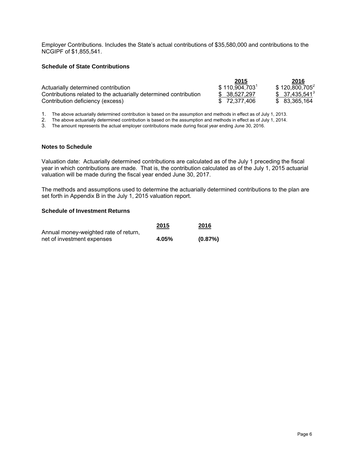Employer Contributions. Includes the State's actual contributions of \$35,580,000 and contributions to the NCGIPF of \$1,855,541.

#### **Schedule of State Contributions**

|                                                                  | 2015          | 2016                       |
|------------------------------------------------------------------|---------------|----------------------------|
| Actuarially determined contribution                              | \$110,904,703 | \$120,800,705 <sup>2</sup> |
| Contributions related to the actuarially determined contribution | \$ 38.527.297 | $$37,435,541^3$            |
| Contribution deficiency (excess)                                 | \$72.377.406  | \$ 83.365.164              |

1. The above actuarially determined contribution is based on the assumption and methods in effect as of July 1, 2013.

2. The above actuarially determined contribution is based on the assumption and methods in effect as of July 1, 2014.

3. The amount represents the actual employer contributions made during fiscal year ending June 30, 2016.

#### **Notes to Schedule**

Valuation date: Actuarially determined contributions are calculated as of the July 1 preceding the fiscal year in which contributions are made. That is, the contribution calculated as of the July 1, 2015 actuarial valuation will be made during the fiscal year ended June 30, 2017.

The methods and assumptions used to determine the actuarially determined contributions to the plan are set forth in Appendix B in the July 1, 2015 valuation report.

#### **Schedule of Investment Returns**

|                                       | 2015  | 2016    |
|---------------------------------------|-------|---------|
| Annual money-weighted rate of return, |       |         |
| net of investment expenses            | 4.05% | (0.87%) |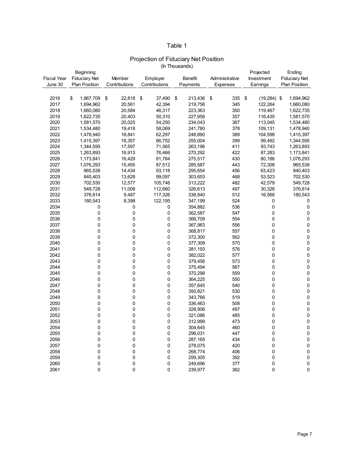#### Table 1

## Projection of Fiduciary Net Position

Fiscal Year June 30 Beginning Fiduciary Net Plan Position **Member Contributions** Employer **Contributions** Benefit Payments Administrative Expenses Projected Investment Earnings Ending Fiduciary Net Plan Position 2016 \$ 1,867,709 \$ 22,818 \$ 37,490 \$ 213,436 \$ 335 \$ (19,284) \$ 1,694,962<br>2017 1,694,962 20,561 42,394 219,756 345 122,264 1,660,080 2017 1,694,962 20,561 42,394 219,756 345 122,264 1,660,080 2018 1,660,080 20,584 46,317 223,363 350 119,467 1,622,735 2019 1,622,735 20,403 50,310 227,956 357 116,435 1,581,570 2020 1,581,570 20,025 54,250 234,043 367 113,045 1,534,480 2021 1,534,480 19,418 58,069 241,780 378 109,131 1,478,940 2022 1,478,940 18,841 62,297 248,890 389 104,598 1,415,397 2023 1,415,397 18,357 66,752 255,004 399 99,492 1,344,595 2024 1,344,595 17,597 71,565 263,196 411 93,743 1,263,893 2025 1,263,893 16,913 76,466 270,292 422 87,283 1,173,841 2026 1,173,841 16,429 81,784 275,517 430 80,186 1,076,293 2027 1,076,293 15,455 87,512 285,587 443 72,308 965,538 2028 965,538 14,434 93,118 295,654 456 63,423 840,403 2029 840,403 13,628 99,097 303,653 468 53,523 702,530 2030 702,530 12,577 105,746 313,222 482 42,579 549,728 2031 549,728 11,008 112,660 326,613 497 30,328 376,614 2032 376,614 9,487 117,326 338,940 512 16,568 180,543 2033 180,543 8,398 122,195 347,199 524 0 0 2034 0 0 354,882 0 536 0 0 2035 0 0 362,587 0 547 0 0 2036 0 0 366,709 0 554 0 0 2037 0 0 367,983 0 556 0 0 2038 0 0 368,817 0 557 0 0 2039 0 0 372,300 0 562 0 0 2040 0 0 377,309 0 570 0 0 2041 0 0 381,193 0 576 0 0 2042 0 0 382,022 0 577 0 0 2043 0 0 379,456 0 573 0 0 2044 0 0 375,494 0 567 0 0 2045 0 0 370,298 0 559 0 0 2046 0 0 364,225 0 550 0 0 2047 0 0 357,645 0 540 0 0 2048 0 0 350,821 0 530 0 0 2049 0 0 343,766 0 519 0 0 2050 0 0 336,463 0 508 0 0 2051 0 0 328,906 0 497 0 0 2052 0 0 321,086 0 485 0 0 2053 0 0 312,999 0 473 0 0 2054 0 0 304,645 0 460 0 0 2055 0 0 296,031 0 447 0 0 2056 0 0 287,165 0 434 0 0 2057 0 0 278,075 0 420 0 0 2058 0 0 268,774 0 406 0 0 2059 0 0 259,305 0 392 0 0 2060 0 0 249,696 0 377 0 0 2061 0 0 239,977 0 362 0 0 (In Thousands)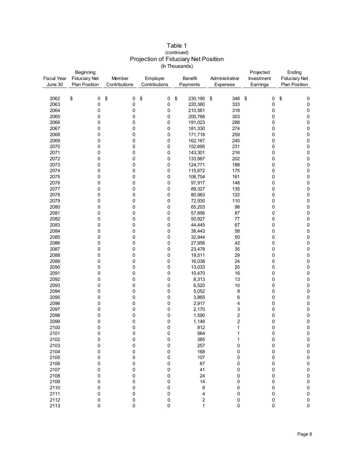|                    | Beginning            |               |                                              | Projected               | Ending                  |                                |                      |
|--------------------|----------------------|---------------|----------------------------------------------|-------------------------|-------------------------|--------------------------------|----------------------|
| <b>Fiscal Year</b> | <b>Fiduciary Net</b> | Member        | Administrative<br>Employer<br><b>Benefit</b> |                         |                         |                                | <b>Fiduciary Net</b> |
| June 30            | <b>Plan Position</b> | Contributions | Contributions                                | Payments                | Expenses                | Investment<br>Earnings         | <b>Plan Position</b> |
|                    |                      |               |                                              |                         |                         |                                |                      |
|                    |                      |               |                                              |                         |                         |                                |                      |
| 2062               | \$<br>0              | \$<br>0       | \$<br>0                                      | \$<br>230,195           | \$<br>348               | $\boldsymbol{\mathsf{S}}$<br>0 | \$<br>0              |
| 2063               | 0                    | 0             | 0                                            | 220,380                 | 333                     | 0                              | $\pmb{0}$            |
| 2064               | 0                    | 0             | 0                                            | 210,561                 | 318                     | 0                              | $\pmb{0}$            |
| 2065               | 0                    | 0             | 0                                            | 200,768                 | 303                     | 0                              | $\pmb{0}$            |
| 2066               | 0                    | 0             | 0                                            | 191,023                 | 288                     | 0                              | $\pmb{0}$            |
| 2067               | 0                    | 0             | 0                                            | 181,330                 | 274                     | 0                              | $\pmb{0}$            |
| 2068               | 0                    | 0             | 0                                            | 171,718                 | 259                     | 0                              | $\pmb{0}$            |
| 2069               | 0                    | 0             | 0                                            | 162,167                 | 245                     | 0                              | $\pmb{0}$            |
| 2070               | 0                    | 0             | 0                                            | 152,695                 | 231                     | 0                              | $\pmb{0}$            |
| 2071               | 0                    | 0             | 0                                            | 143,301                 | 216                     | 0                              | $\pmb{0}$            |
| 2072               | 0                    | 0             | 0                                            | 133,987                 | 202                     | 0                              | $\pmb{0}$            |
|                    |                      |               |                                              |                         |                         |                                |                      |
| 2073               | 0                    | 0             | 0                                            | 124,771                 | 188                     | 0                              | $\pmb{0}$            |
| 2074               | 0                    | 0             | 0                                            | 115,672                 | 175                     | 0                              | $\pmb{0}$            |
| 2075               | 0                    | 0             | 0                                            | 106,704                 | 161                     | 0                              | $\pmb{0}$            |
| 2076               | 0                    | 0             | 0                                            | 97,917                  | 148                     | 0                              | $\pmb{0}$            |
| 2077               | 0                    | 0             | 0                                            | 89,327                  | 135                     | 0                              | $\pmb{0}$            |
| 2078               | 0                    | 0             | 0                                            | 80,983                  | 122                     | 0                              | $\pmb{0}$            |
| 2079               | 0                    | 0             | 0                                            | 72,930                  | 110                     | 0                              | $\pmb{0}$            |
| 2080               | 0                    | 0             | 0                                            | 65,203                  | 98                      | 0                              | $\pmb{0}$            |
| 2081               | 0                    | 0             | 0                                            | 57,856                  | 87                      | 0                              | $\pmb{0}$            |
| 2082               | 0                    | 0             | 0                                            | 50,927                  | 77                      | 0                              | $\pmb{0}$            |
| 2083               | 0                    | 0             | 0                                            | 44,445                  | 67                      | 0                              | $\pmb{0}$            |
| 2084               | 0                    | 0             | 0                                            | 38,443                  | 58                      | 0                              | $\pmb{0}$            |
| 2085               | 0                    | 0             | 0                                            | 32,944                  | 50                      | 0                              | $\pmb{0}$            |
| 2086               | 0                    | 0             | 0                                            | 27,956                  | 42                      | 0                              | $\pmb{0}$            |
| 2087               | 0                    | 0             | 0                                            | 23,478                  | 35                      | 0                              | $\pmb{0}$            |
| 2088               | 0                    | 0             | 0                                            | 19,511                  | 29                      | 0                              | $\pmb{0}$            |
| 2089               | 0                    | 0             | 0                                            | 16,038                  | 24                      | 0                              | $\pmb{0}$            |
| 2090               | 0                    | 0             | 0                                            | 13,033                  | 20                      | 0                              | $\pmb{0}$            |
| 2091               | 0                    | 0             | 0                                            | 10,470                  | 16                      | 0                              | $\pmb{0}$            |
| 2092               | 0                    | 0             | 0                                            | 8,313                   | 13                      | 0                              | $\pmb{0}$            |
| 2093               | 0                    | 0             | 0                                            | 6,520                   | 10                      | 0                              | $\pmb{0}$            |
| 2094               | 0                    | 0             | 0                                            | 5,052                   | 8                       | 0                              | $\pmb{0}$            |
| 2095               |                      |               |                                              | 3,865                   |                         |                                | $\pmb{0}$            |
|                    | 0                    | 0             | 0                                            |                         | 6                       | 0                              |                      |
| 2096               | 0                    | 0             | 0                                            | 2,917                   | 4                       | 0                              | $\pmb{0}$            |
| 2097               | 0                    | 0             | 0                                            | 2,170                   | 3                       | 0                              | 0                    |
| 2098               | 0                    | 0             | 0                                            | 1,590                   | $\overline{\mathbf{c}}$ | 0                              | $\pmb{0}$            |
| 2099               | 0                    | 0             | 0                                            | 1,146                   | $\overline{c}$          | 0                              | $\pmb{0}$            |
| 2100               | $\Omega$             | 0             | 0                                            | 812                     | 1                       | $\Omega$                       | $\Omega$             |
| 2101               | 0                    | 0             | 0                                            | 564                     | 1                       | 0                              | $\pmb{0}$            |
| 2102               | 0                    | 0             | 0                                            | 385                     | 1                       | 0                              | $\mathbf 0$          |
| 2103               | 0                    | 0             | 0                                            | 257                     | 0                       | 0                              | $\pmb{0}$            |
| 2104               | 0                    | 0             | 0                                            | 168                     | 0                       | 0                              | $\pmb{0}$            |
| 2105               | 0                    | 0             | 0                                            | 107                     | 0                       | 0                              | $\mathbf 0$          |
| 2106               | 0                    | $\pmb{0}$     | 0                                            | 67                      | 0                       | 0                              | $\pmb{0}$            |
| 2107               | 0                    | 0             | 0                                            | 41                      | 0                       | 0                              | $\pmb{0}$            |
| 2108               | 0                    | 0             | 0                                            | 24                      | 0                       | 0                              | $\pmb{0}$            |
| 2109               | 0                    | 0             | 0                                            | 14                      | 0                       | 0                              | $\pmb{0}$            |
| 2110               | 0                    | 0             | 0                                            | 8                       | 0                       | 0                              | $\pmb{0}$            |
| 2111               | 0                    | 0             | 0                                            | 4                       | 0                       | 0                              | $\pmb{0}$            |
| 2112               | 0                    | 0             | 0                                            | $\overline{\mathbf{c}}$ | 0                       | 0                              | $\pmb{0}$            |
| 2113               | 0                    | 0             | 0                                            | $\mathbf{1}$            | 0                       | 0                              | $\pmb{0}$            |
|                    |                      |               |                                              |                         |                         |                                |                      |

#### Table 1 Projection of Fiduciary Net Position (In Thousands) (continued)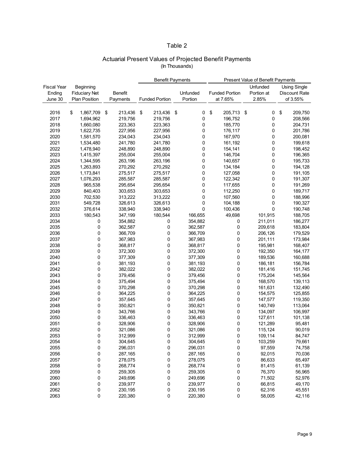#### Table 2

### Actuarial Present Values of Projected Benefit Payments (In Thousands)

|                    |                      |                | <b>Benefit Payments</b><br><b>Present Value of Benefit Payments</b> |                       |    |          |    |                       |            |    |                      |
|--------------------|----------------------|----------------|---------------------------------------------------------------------|-----------------------|----|----------|----|-----------------------|------------|----|----------------------|
| <b>Fiscal Year</b> | Beginning            |                |                                                                     |                       |    |          |    |                       | Unfunded   |    | <b>Using Single</b>  |
| Ending             | <b>Fiduciary Net</b> | <b>Benefit</b> |                                                                     |                       |    | Unfunded |    | <b>Funded Portion</b> | Portion at |    | <b>Discount Rate</b> |
| June 30            | Plan Position        | Payments       |                                                                     | <b>Funded Portion</b> |    | Portion  |    | at 7.65%              | 2.85%      |    | of 3.55%             |
|                    |                      |                |                                                                     |                       |    |          |    |                       |            |    |                      |
|                    |                      |                |                                                                     |                       |    |          |    |                       |            |    |                      |
| 2016               | \$<br>1,867,709      | \$<br>213,436  | \$                                                                  | 213,436               | \$ | 0        | \$ | 205,713 \$            | 0          | \$ | 209,750              |
| 2017               | 1,694,962            | 219,756        |                                                                     | 219,756               |    | 0        |    | 196,752               | 0          |    | 208,566              |
| 2018               | 1,660,080            | 223,363        |                                                                     | 223,363               |    | 0        |    | 185,770               | 0          |    | 204,731              |
| 2019               | 1,622,735            | 227,956        |                                                                     | 227,956               |    | 0        |    | 176,117               | 0          |    | 201,786              |
| 2020               | 1,581,570            | 234,043        |                                                                     | 234,043               |    | 0        |    | 167,970               | 0          |    | 200,081              |
| 2021               | 1,534,480            | 241,780        |                                                                     | 241,780               |    | 0        |    | 161,192               | 0          |    | 199,618              |
| 2022               | 1,478,940            | 248,890        |                                                                     | 248,890               |    | 0        |    | 154,141               | 0          |    | 198,452              |
| 2023               | 1,415,397            | 255,004        |                                                                     | 255,004               |    | 0        |    | 146,704               | 0          |    | 196,365              |
| 2024               | 1,344,595            | 263,196        |                                                                     | 263,196               |    | 0        |    | 140,657               | 0          |    | 195,733              |
| 2025               | 1,263,893            | 270,292        |                                                                     | 270,292               |    | 0        |    | 134,184               | 0          |    | 194,128              |
| 2026               | 1,173,841            | 275,517        |                                                                     | 275,517               |    | 0        |    | 127,058               | 0          |    | 191,105              |
| 2027               | 1,076,293            | 285,587        |                                                                     | 285,587               |    | 0        |    | 122,342               | 0          |    | 191,307              |
| 2028               | 965,538              | 295,654        |                                                                     | 295,654               |    | 0        |    | 117,655               | 0          |    | 191,269              |
| 2029               | 840,403              | 303,653        |                                                                     | 303,653               |    | 0        |    | 112,250               | 0          |    | 189,717              |
| 2030               | 702,530              | 313,222        |                                                                     | 313,222               |    | 0        |    | 107,560               | 0          |    | 188,996              |
| 2031               | 549,728              | 326,613        |                                                                     | 326,613               |    | 0        |    | 104,188               | 0          |    | 190,327              |
| 2032               | 376,614              | 338,940        |                                                                     | 338,940               |    | 0        |    | 100,436               | 0          |    | 190,748              |
| 2033               | 180,543              | 347,199        |                                                                     | 180,544               |    | 166,655  |    | 49,698                | 101,915    |    | 188,705              |
| 2034               | 0                    | 354,882        |                                                                     | 0                     |    | 354,882  |    | 0                     | 211,011    |    | 186,277              |
| 2035               | 0                    | 362,587        |                                                                     | 0                     |    | 362,587  |    | 0                     | 209,618    |    | 183,804              |
| 2036               | 0                    | 366,709        |                                                                     | 0                     |    | 366,709  |    | 0                     | 206,126    |    | 179,529              |
| 2037               | 0                    | 367,983        |                                                                     | 0                     |    | 367,983  |    | 0                     | 201,111    |    | 173,984              |
|                    |                      | 368,817        |                                                                     |                       |    |          |    |                       |            |    |                      |
| 2038               | 0                    |                |                                                                     | 0                     |    | 368,817  |    | 0                     | 195,981    |    | 168,407              |
| 2039               | 0                    | 372,300        |                                                                     | 0                     |    | 372,300  |    | 0                     | 192,350    |    | 164,177              |
| 2040               | 0                    | 377,309        |                                                                     | 0                     |    | 377,309  |    | 0                     | 189,536    |    | 160,688              |
| 2041               | 0                    | 381,193        |                                                                     | 0                     |    | 381,193  |    | 0                     | 186,181    |    | 156,784              |
| 2042               | 0                    | 382,022        |                                                                     | 0                     |    | 382,022  |    | 0                     | 181,416    |    | 151,745              |
| 2043               | 0                    | 379,456        |                                                                     | $\pmb{0}$             |    | 379,456  |    | $\pmb{0}$             | 175,204    |    | 145,564              |
| 2044               | 0                    | 375,494        |                                                                     | 0                     |    | 375,494  |    | 0                     | 168,570    |    | 139,113              |
| 2045               | 0                    | 370,298        |                                                                     | 0                     |    | 370,298  |    | 0                     | 161,631    |    | 132,490              |
| 2046               | 0                    | 364,225        |                                                                     | 0                     |    | 364,225  |    | 0                     | 154,575    |    | 125,855              |
| 2047               | 0                    | 357,645        |                                                                     | $\pmb{0}$             |    | 357,645  |    | 0                     | 147,577    |    | 119,350              |
| 2048               | 0                    | 350,821        |                                                                     | 0                     |    | 350,821  |    | 0                     | 140,749    |    | 113,064              |
| 2049               | 0                    | 343,766        |                                                                     | 0                     |    | 343,766  |    | 0                     | 134,097    |    | 106,997              |
| 2050               | 0                    | 336,463        |                                                                     | 0                     |    | 336,463  |    | 0                     | 127,611    |    | 101,138              |
| 2051               | 0                    | 328,906        |                                                                     | 0                     |    | 328,906  |    | 0                     | 121,289    |    | 95,481               |
| 2052               | 0                    | 321,086        |                                                                     | 0                     |    | 321,086  |    | 0                     | 115,124    |    | 90,019               |
| 2053               | 0                    | 312,999        |                                                                     | 0                     |    | 312,999  |    | 0                     | 109,114    |    | 84.747               |
| 2054               | 0                    | 304,645        |                                                                     | 0                     |    | 304,645  |    | 0                     | 103,259    |    | 79,661               |
| 2055               | 0                    | 296,031        |                                                                     | 0                     |    | 296,031  |    | 0                     | 97,559     |    | 74,758               |
| 2056               | 0                    | 287,165        |                                                                     | 0                     |    | 287,165  |    | 0                     | 92,015     |    | 70,036               |
| 2057               | 0                    | 278,075        |                                                                     | 0                     |    | 278,075  |    | 0                     | 86,633     |    | 65,497               |
| 2058               | 0                    | 268,774        |                                                                     | 0                     |    | 268,774  |    | 0                     | 81,415     |    | 61,139               |
| 2059               | 0                    | 259,305        |                                                                     | 0                     |    | 259,305  |    | 0                     | 76,370     |    | 56,965               |
| 2060               | 0                    | 249,696        |                                                                     | 0                     |    | 249,696  |    | 0                     | 71,502     |    | 52,976               |
| 2061               | 0                    | 239,977        |                                                                     | 0                     |    | 239,977  |    | 0                     | 66,815     |    | 49,170               |
| 2062               | 0                    | 230,195        |                                                                     | 0                     |    | 230,195  |    | 0                     | 62,316     |    | 45,551               |
| 2063               | 0                    | 220,380        |                                                                     | $\mathbf 0$           |    | 220,380  |    | 0                     | 58,005     |    | 42,116               |
|                    |                      |                |                                                                     |                       |    |          |    |                       |            |    |                      |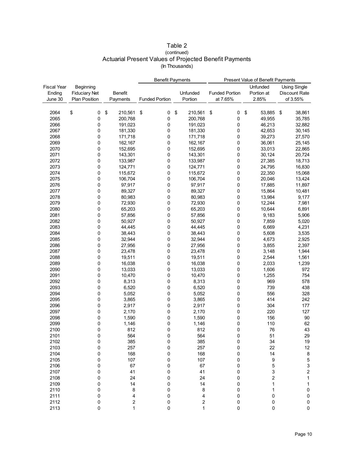| Table 2                                                |
|--------------------------------------------------------|
| (continued)                                            |
| Actuarial Present Values of Projected Benefit Payments |
| (In Thousands)                                         |

|                    |                      |                | <b>Benefit Payments</b> |               | Present Value of Benefit Payments |                         |                         |  |
|--------------------|----------------------|----------------|-------------------------|---------------|-----------------------------------|-------------------------|-------------------------|--|
| <b>Fiscal Year</b> | Beginning            |                |                         |               |                                   | Unfunded                | <b>Using Single</b>     |  |
| Ending             | <b>Fiduciary Net</b> | <b>Benefit</b> |                         | Unfunded      | <b>Funded Portion</b>             | Portion at              | Discount Rate           |  |
| June 30            | <b>Plan Position</b> | Payments       | <b>Funded Portion</b>   | Portion       | at 7.65%                          | 2.85%                   | of 3.55%                |  |
|                    |                      |                |                         |               |                                   |                         |                         |  |
| 2064               | \$<br>0              | \$<br>210,561  | \$<br>0                 | \$<br>210,561 | \$<br>0                           | \$<br>53,885            | \$<br>38,861            |  |
| 2065               | 0                    | 200,768        | 0                       | 200,768       | 0                                 | 49,955                  | 35,785                  |  |
| 2066               | 0                    | 191,023        | 0                       | 191,023       | 0                                 | 46,213                  | 32,882                  |  |
| 2067               | 0                    | 181,330        | 0                       | 181,330       | 0                                 | 42,653                  | 30,145                  |  |
| 2068               | 0                    | 171,718        | 0                       | 171,718       | 0                                 | 39,273                  | 27,570                  |  |
| 2069               | 0                    | 162,167        | 0                       | 162,167       | 0                                 | 36,061                  | 25,145                  |  |
| 2070               | 0                    | 152,695        | 0                       | 152,695       | 0                                 | 33,013                  | 22,865                  |  |
| 2071               | 0                    | 143,301        | 0                       | 143,301       | 0                                 | 30,124                  | 20,724                  |  |
| 2072               | 0                    | 133,987        | 0                       | 133,987       | 0                                 | 27,385                  | 18,713                  |  |
| 2073               | 0                    | 124,771        | 0                       | 124,771       | 0                                 | 24,795                  | 16,830                  |  |
| 2074               | 0                    | 115,672        | 0                       | 115,672       | 0                                 | 22,350                  | 15,068                  |  |
| 2075               | 0                    | 106,704        | 0                       | 106,704       | 0                                 | 20,046                  | 13,424                  |  |
| 2076               | 0                    | 97,917         | 0                       | 97,917        | 0                                 | 17,885                  | 11,897                  |  |
| 2077               | 0                    |                |                         |               |                                   |                         |                         |  |
|                    |                      | 89,327         | 0                       | 89,327        | 0                                 | 15,864                  | 10,481                  |  |
| 2078               | 0                    | 80,983         | 0                       | 80,983        | 0                                 | 13,984                  | 9,177                   |  |
| 2079               | 0                    | 72,930         | 0                       | 72,930        | 0                                 | 12,244                  | 7,981                   |  |
| 2080               | 0                    | 65,203         | 0                       | 65,203        | 0                                 | 10,644                  | 6,891                   |  |
| 2081               | 0                    | 57,856         | 0                       | 57,856        | 0                                 | 9,183                   | 5,906                   |  |
| 2082               | 0                    | 50,927         | 0                       | 50,927        | 0                                 | 7,859                   | 5,020                   |  |
| 2083               | 0                    | 44,445         | 0                       | 44,445        | 0                                 | 6,669                   | 4,231                   |  |
| 2084               | 0                    | 38,443         | 0                       | 38,443        | 0                                 | 5,608                   | 3,535                   |  |
| 2085               | 0                    | 32,944         | 0                       | 32,944        | 0                                 | 4,673                   | 2,925                   |  |
| 2086               | 0                    | 27,956         | 0                       | 27,956        | 0                                 | 3,855                   | 2,397                   |  |
| 2087               | 0                    | 23,478         | 0                       | 23,478        | 0                                 | 3,148                   | 1,944                   |  |
| 2088               | 0                    | 19,511         | 0                       | 19,511        | 0                                 | 2,544                   | 1,561                   |  |
| 2089               | 0                    | 16,038         | 0                       | 16,038        | 0                                 | 2,033                   | 1,239                   |  |
| 2090               | 0                    | 13,033         | 0                       | 13,033        | 0                                 | 1,606                   | 972                     |  |
| 2091               | 0                    | 10,470         | 0                       | 10,470        | 0                                 | 1,255                   | 754                     |  |
| 2092               | 0                    | 8,313          | 0                       | 8,313         | 0                                 | 969                     | 578                     |  |
| 2093               | 0                    | 6,520          | 0                       | 6,520         | 0                                 | 739                     | 438                     |  |
| 2094               | 0                    | 5,052          | 0                       | 5,052         | 0                                 | 556                     | 328                     |  |
| 2095               | 0                    | 3,865          | 0                       | 3,865         | 0                                 | 414                     | 242                     |  |
| 2096               | 0                    | 2,917          | 0                       | 2,917         | 0                                 | 304                     | 177                     |  |
| 2097               | 0                    | 2,170          | 0                       | 2,170         | 0                                 | 220                     | 127                     |  |
| 2098               | 0                    | 1,590          | 0                       | 1,590         | 0                                 | 156                     | 90                      |  |
| 2099               | 0                    | 1,146          | 0                       | 1,146         | 0                                 | 110                     | 62                      |  |
| 2100               | 0                    | 812            | 0                       | 812           | 0                                 | 76                      | 43                      |  |
| 2101               | $\Omega$             | 564            | U                       | 564           | $\Omega$                          | 51                      | 29                      |  |
| 2102               | 0                    | 385            | 0                       | 385           | 0                                 | 34                      | 19                      |  |
| 2103               | 0                    | 257            | 0                       | 257           | 0                                 | 22                      | 12                      |  |
| 2104               | 0                    | 168            | 0                       | 168           | 0                                 | 14                      | $\bf 8$                 |  |
| 2105               | 0                    | 107            | 0                       | 107           | 0                                 | 9                       | $\mathbf 5$             |  |
| 2106               | 0                    | 67             | 0                       | 67            | 0                                 | 5                       | $\mathfrak{S}$          |  |
| 2107               | 0                    | 41             | 0                       | 41            | 0                                 | 3                       | $\overline{\mathbf{c}}$ |  |
| 2108               | 0                    | 24             | 0                       | 24            | 0                                 | $\overline{\mathbf{c}}$ | $\mathbf 1$             |  |
| 2109               | 0                    | 14             | 0                       | 14            | 0                                 | 1                       | 1                       |  |
| 2110               | 0                    | 8              | 0                       | 8             | 0                                 | 1                       | 0                       |  |
| 2111               | 0                    | 4              | 0                       | 4             | 0                                 | 0                       | 0                       |  |
| 2112               | 0                    | $\mathbf 2$    | 0                       | 2             | 0                                 | 0                       | $\pmb{0}$               |  |
| 2113               | 0                    | 1              | 0                       | 1             | 0                                 | $\pmb{0}$               | $\mathsf 0$             |  |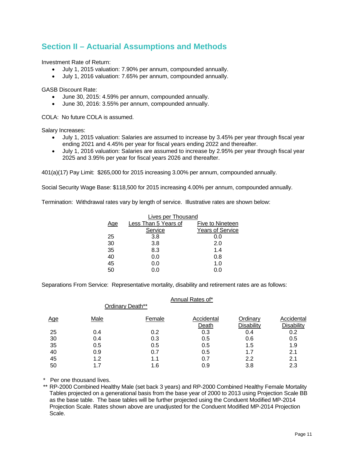## **Section II – Actuarial Assumptions and Methods**

Investment Rate of Return:

- July 1, 2015 valuation: 7.90% per annum, compounded annually.
- July 1, 2016 valuation: 7.65% per annum, compounded annually.

GASB Discount Rate:

- June 30, 2015: 4.59% per annum, compounded annually.
- June 30, 2016: 3.55% per annum, compounded annually.

COLA: No future COLA is assumed.

Salary Increases:

- July 1, 2015 valuation: Salaries are assumed to increase by 3.45% per year through fiscal year ending 2021 and 4.45% per year for fiscal years ending 2022 and thereafter.
- July 1, 2016 valuation: Salaries are assumed to increase by 2.95% per year through fiscal year 2025 and 3.95% per year for fiscal years 2026 and thereafter.

401(a)(17) Pay Limit: \$265,000 for 2015 increasing 3.00% per annum, compounded annually.

Social Security Wage Base: \$118,500 for 2015 increasing 4.00% per annum, compounded annually.

Termination: Withdrawal rates vary by length of service. Illustrative rates are shown below:

|     | Lives per Thousand   |                         |
|-----|----------------------|-------------------------|
| Age | Less Than 5 Years of | Five to Nineteen        |
|     | Service              | <b>Years of Service</b> |
| 25  | 3.8                  | 0.0                     |
| 30  | 3.8                  | 2.0                     |
| 35  | 8.3                  | 1.4                     |
| 40  | 0.0                  | 0.8                     |
| 45  | 0.0                  | 1.0                     |
| 50  | 0.0                  | 0.0                     |

Separations From Service: Representative mortality, disability and retirement rates are as follows:

|            |      |                  | Annual Rates of*    |                        |                          |
|------------|------|------------------|---------------------|------------------------|--------------------------|
|            |      | Ordinary Death** |                     |                        |                          |
| <u>Age</u> | Male | Female           | Accidental<br>Death | Ordinary<br>Disability | Accidental<br>Disability |
| 25         | 0.4  | 0.2              | 0.3                 | 0.4                    | 0.2                      |
| 30         | 0.4  | 0.3              | 0.5                 | 0.6                    | 0.5                      |
| 35         | 0.5  | 0.5              | 0.5                 | 1.5                    | 1.9                      |
| 40         | 0.9  | 0.7              | 0.5                 | 1.7                    | 2.1                      |
| 45         | 1.2  | 1.1              | 0.7                 | 2.2                    | 2.1                      |
| 50         |      | 1.6              | 0.9                 | 3.8                    | 2.3                      |

\* Per one thousand lives.

 \*\* RP-2000 Combined Healthy Male (set back 3 years) and RP-2000 Combined Healthy Female Mortality Tables projected on a generational basis from the base year of 2000 to 2013 using Projection Scale BB as the base table. The base tables will be further projected using the Conduent Modified MP-2014 Projection Scale. Rates shown above are unadjusted for the Conduent Modified MP-2014 Projection Scale.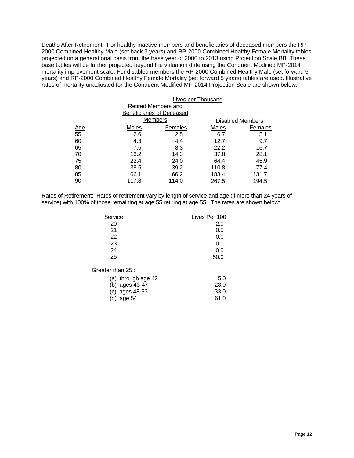Deaths After Retirement: For healthy inactive members and beneficiaries of deceased members the RP-2000 Combined Healthy Male (set back 3 years) and RP-2000 Combined Healthy Female Mortality tables projected on a generational basis from the base year of 2000 to 2013 using Projection Scale BB. These base tables will be further projected beyond the valuation date using the Conduent Modified MP-2014 mortality improvement scale. For disabled members the RP-2000 Combined Healthy Male (set forward 5 years) and RP-2000 Combined Healthy Female Mortality (set forward 5 years) tables are used. Illustrative rates of mortality unadjusted for the Conduent Modified MP-2014 Projection Scale are shown below:

| <b>Lives per Thousand</b> |         |                                                                    |         |  |
|---------------------------|---------|--------------------------------------------------------------------|---------|--|
|                           |         |                                                                    |         |  |
|                           |         |                                                                    |         |  |
|                           |         | <b>Disabled Members</b>                                            |         |  |
| Males                     | Females | Males                                                              | Females |  |
| 2.6                       | 2.5     | 6.7                                                                | 5.1     |  |
| 4.3                       | 4.4     | 12.7                                                               | 9.7     |  |
| 7.5                       | 8.3     | 22.2                                                               | 16.7    |  |
| 13.2                      | 14.3    | 37.8                                                               | 28.1    |  |
| 22.4                      | 24.0    | 64.4                                                               | 45.9    |  |
| 38.5                      | 39.2    | 110.8                                                              | 77.4    |  |
| 66.1                      | 66.2    | 183.4                                                              | 131.7   |  |
| 117.8                     | 114.0   | 267.5                                                              | 194.5   |  |
|                           |         | Retired Members and<br><b>Beneficiaries of Deceased</b><br>Members |         |  |

Rates of Retirement: Rates of retirement vary by length of service and age (if more than 24 years of service) with 100% of those remaining at age 55 retiring at age 55. The rates are shown below:

| Service           | Lives Per 100 |
|-------------------|---------------|
| 20                | 2.0           |
| 21                | 0.5           |
| 22                | 0.0           |
| 23                | 0.0           |
| 24                | 0.0           |
| 25                | 50.0          |
| Greater than 25 : |               |

| (a) through age $42$ | 5.0  |
|----------------------|------|
| (b) ages 43-47       | 28.0 |
| (c) ages $48-53$     | 33.0 |
| (d) age $54$         | 61.0 |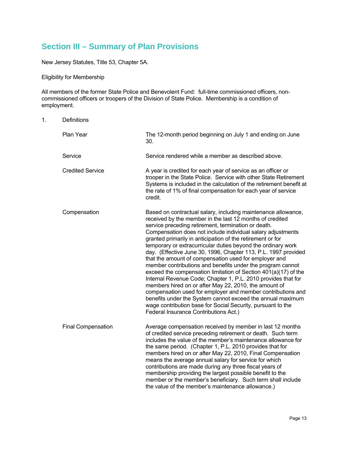# **Section III – Summary of Plan Provisions**

New Jersey Statutes, Title 53, Chapter 5A.

Eligibility for Membership

All members of the former State Police and Benevolent Fund: full-time commissioned officers, noncommissioned officers or troopers of the Division of State Police. Membership is a condition of employment.

1. Definitions

| Plan Year                 | The 12-month period beginning on July 1 and ending on June<br>30.                                                                                                                                                                                                                                                                                                                                                                                                                                                                                                                                                                                                                                                                                                                                                                                                                                                                                                                                        |
|---------------------------|----------------------------------------------------------------------------------------------------------------------------------------------------------------------------------------------------------------------------------------------------------------------------------------------------------------------------------------------------------------------------------------------------------------------------------------------------------------------------------------------------------------------------------------------------------------------------------------------------------------------------------------------------------------------------------------------------------------------------------------------------------------------------------------------------------------------------------------------------------------------------------------------------------------------------------------------------------------------------------------------------------|
| Service                   | Service rendered while a member as described above.                                                                                                                                                                                                                                                                                                                                                                                                                                                                                                                                                                                                                                                                                                                                                                                                                                                                                                                                                      |
| <b>Credited Service</b>   | A year is credited for each year of service as an officer or<br>trooper in the State Police. Service with other State Retirement<br>Systems is included in the calculation of the retirement benefit at<br>the rate of 1% of final compensation for each year of service<br>credit.                                                                                                                                                                                                                                                                                                                                                                                                                                                                                                                                                                                                                                                                                                                      |
| Compensation              | Based on contractual salary, including maintenance allowance,<br>received by the member in the last 12 months of credited<br>service preceding retirement, termination or death.<br>Compensation does not include individual salary adjustments<br>granted primarily in anticipation of the retirement or for<br>temporary or extracurricular duties beyond the ordinary work<br>day. (Effective June 30, 1996, Chapter 113, P.L. 1997 provided<br>that the amount of compensation used for employer and<br>member contributions and benefits under the program cannot<br>exceed the compensation limitation of Section 401(a)(17) of the<br>Internal Revenue Code; Chapter 1, P.L. 2010 provides that for<br>members hired on or after May 22, 2010, the amount of<br>compensation used for employer and member contributions and<br>benefits under the System cannot exceed the annual maximum<br>wage contribution base for Social Security, pursuant to the<br>Federal Insurance Contributions Act.) |
| <b>Final Compensation</b> | Average compensation received by member in last 12 months<br>of credited service preceding retirement or death. Such term<br>includes the value of the member's maintenance allowance for<br>the same period. (Chapter 1, P.L. 2010 provides that for<br>members hired on or after May 22, 2010, Final Compensation<br>means the average annual salary for service for which<br>contributions are made during any three fiscal years of<br>membership providing the largest possible benefit to the<br>member or the member's beneficiary. Such term shall include<br>the value of the member's maintenance allowance.)                                                                                                                                                                                                                                                                                                                                                                                  |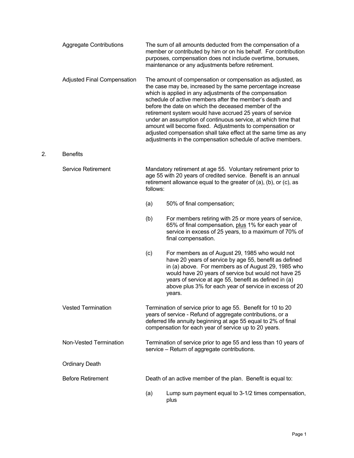|    |                                    |          | member or contributed by him or on his behalf. For contribution<br>purposes, compensation does not include overtime, bonuses,<br>maintenance or any adjustments before retirement.                                                                                                                                                                                                                                                                                                                                                                                                                                               |
|----|------------------------------------|----------|----------------------------------------------------------------------------------------------------------------------------------------------------------------------------------------------------------------------------------------------------------------------------------------------------------------------------------------------------------------------------------------------------------------------------------------------------------------------------------------------------------------------------------------------------------------------------------------------------------------------------------|
|    | <b>Adjusted Final Compensation</b> |          | The amount of compensation or compensation as adjusted, as<br>the case may be, increased by the same percentage increase<br>which is applied in any adjustments of the compensation<br>schedule of active members after the member's death and<br>before the date on which the deceased member of the<br>retirement system would have accrued 25 years of service<br>under an assumption of continuous service, at which time that<br>amount will become fixed. Adjustments to compensation or<br>adjusted compensation shall take effect at the same time as any<br>adjustments in the compensation schedule of active members. |
| 2. | <b>Benefits</b>                    |          |                                                                                                                                                                                                                                                                                                                                                                                                                                                                                                                                                                                                                                  |
|    | <b>Service Retirement</b>          | follows: | Mandatory retirement at age 55. Voluntary retirement prior to<br>age 55 with 20 years of credited service. Benefit is an annual<br>retirement allowance equal to the greater of (a), (b), or (c), as                                                                                                                                                                                                                                                                                                                                                                                                                             |
|    |                                    | (a)      | 50% of final compensation;                                                                                                                                                                                                                                                                                                                                                                                                                                                                                                                                                                                                       |
|    |                                    | (b)      | For members retiring with 25 or more years of service,<br>65% of final compensation, plus 1% for each year of<br>service in excess of 25 years, to a maximum of 70% of<br>final compensation.                                                                                                                                                                                                                                                                                                                                                                                                                                    |
|    |                                    | (c)      | For members as of August 29, 1985 who would not<br>have 20 years of service by age 55, benefit as defined<br>in (a) above. For members as of August 29, 1985 who<br>would have 20 years of service but would not have 25<br>years of service at age 55, benefit as defined in (a)<br>above plus 3% for each year of service in excess of 20<br>years.                                                                                                                                                                                                                                                                            |
|    | <b>Vested Termination</b>          |          | Termination of service prior to age 55. Benefit for 10 to 20<br>years of service - Refund of aggregate contributions, or a<br>deferred life annuity beginning at age 55 equal to 2% of final<br>compensation for each year of service up to 20 years.                                                                                                                                                                                                                                                                                                                                                                            |
|    | Non-Vested Termination             |          | Termination of service prior to age 55 and less than 10 years of<br>service - Return of aggregate contributions.                                                                                                                                                                                                                                                                                                                                                                                                                                                                                                                 |
|    | <b>Ordinary Death</b>              |          |                                                                                                                                                                                                                                                                                                                                                                                                                                                                                                                                                                                                                                  |
|    | <b>Before Retirement</b>           |          | Death of an active member of the plan. Benefit is equal to:                                                                                                                                                                                                                                                                                                                                                                                                                                                                                                                                                                      |
|    |                                    | (a)      | Lump sum payment equal to 3-1/2 times compensation,<br>plus                                                                                                                                                                                                                                                                                                                                                                                                                                                                                                                                                                      |

 $2.$ 

Aggregate Contributions The sum of all amounts deducted from the compensation of a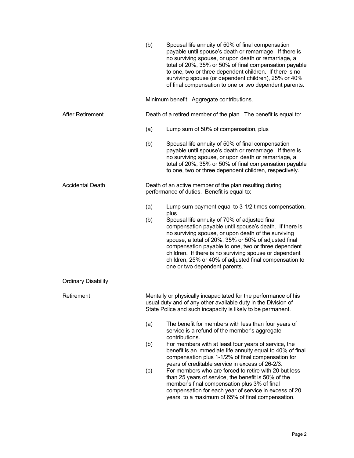|                            | (b) | Spousal life annuity of 50% of final compensation<br>payable until spouse's death or remarriage. If there is<br>no surviving spouse, or upon death or remarriage, a<br>total of 20%, 35% or 50% of final compensation payable<br>to one, two or three dependent children. If there is no<br>surviving spouse (or dependent children), 25% or 40%<br>of final compensation to one or two dependent parents.                         |
|----------------------------|-----|------------------------------------------------------------------------------------------------------------------------------------------------------------------------------------------------------------------------------------------------------------------------------------------------------------------------------------------------------------------------------------------------------------------------------------|
|                            |     | Minimum benefit: Aggregate contributions.                                                                                                                                                                                                                                                                                                                                                                                          |
| <b>After Retirement</b>    |     | Death of a retired member of the plan. The benefit is equal to:                                                                                                                                                                                                                                                                                                                                                                    |
|                            | (a) | Lump sum of 50% of compensation, plus                                                                                                                                                                                                                                                                                                                                                                                              |
|                            | (b) | Spousal life annuity of 50% of final compensation<br>payable until spouse's death or remarriage. If there is<br>no surviving spouse, or upon death or remarriage, a<br>total of 20%, 35% or 50% of final compensation payable<br>to one, two or three dependent children, respectively.                                                                                                                                            |
| <b>Accidental Death</b>    |     | Death of an active member of the plan resulting during<br>performance of duties. Benefit is equal to:                                                                                                                                                                                                                                                                                                                              |
|                            | (a) | Lump sum payment equal to 3-1/2 times compensation,<br>plus                                                                                                                                                                                                                                                                                                                                                                        |
|                            | (b) | Spousal life annuity of 70% of adjusted final<br>compensation payable until spouse's death. If there is<br>no surviving spouse, or upon death of the surviving<br>spouse, a total of 20%, 35% or 50% of adjusted final<br>compensation payable to one, two or three dependent<br>children. If there is no surviving spouse or dependent<br>children, 25% or 40% of adjusted final compensation to<br>one or two dependent parents. |
| <b>Ordinary Disability</b> |     |                                                                                                                                                                                                                                                                                                                                                                                                                                    |
| Retirement                 |     | Mentally or physically incapacitated for the performance of his<br>usual duty and of any other available duty in the Division of<br>State Police and such incapacity is likely to be permanent.                                                                                                                                                                                                                                    |
|                            | (a) | The benefit for members with less than four years of<br>service is a refund of the member's aggregate<br>contributions.                                                                                                                                                                                                                                                                                                            |
|                            | (b) | For members with at least four years of service, the<br>benefit is an immediate life annuity equal to 40% of final<br>compensation plus 1-1/2% of final compensation for<br>years of creditable service in excess of 26-2/3.                                                                                                                                                                                                       |
|                            | (c) | For members who are forced to retire with 20 but less<br>than 25 years of service, the benefit is 50% of the<br>member's final compensation plus 3% of final<br>compensation for each year of service in excess of 20<br>years, to a maximum of 65% of final compensation.                                                                                                                                                         |